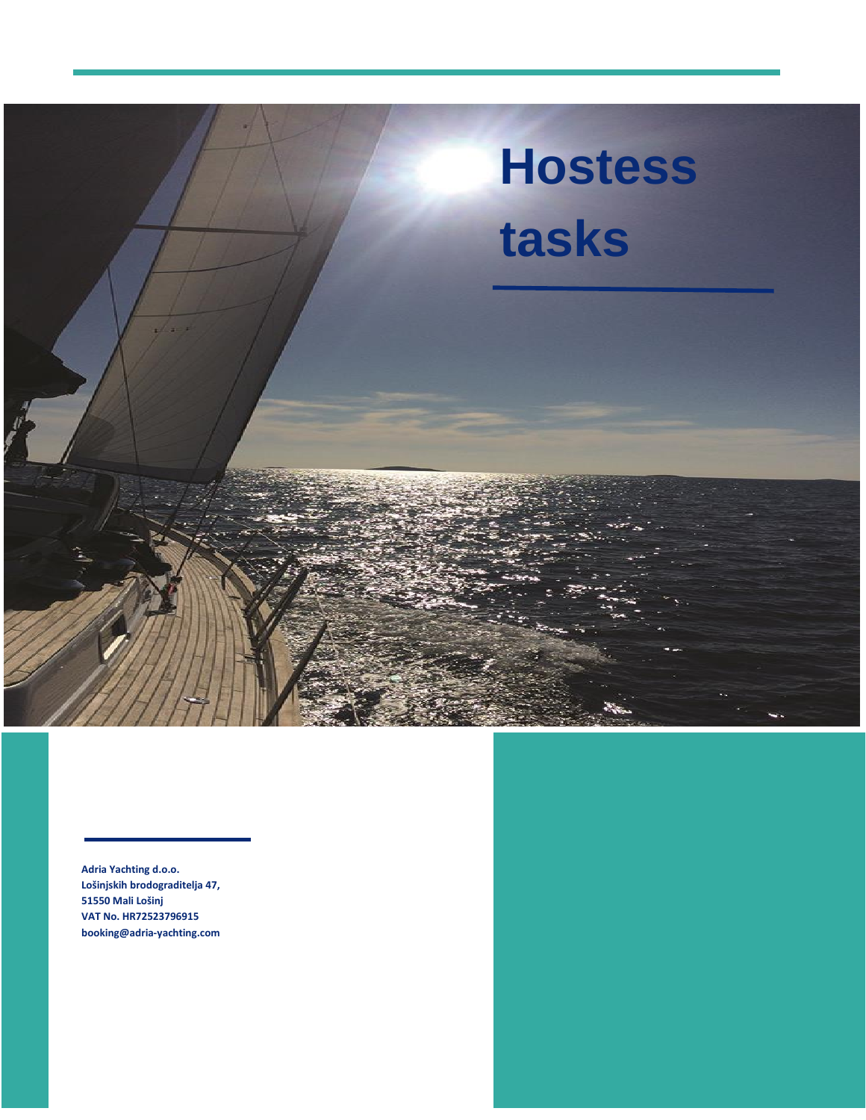

**Adria Yachting d.o.o. Lošinjskih brodograditelja 47, 51550 Mali Lošinj VAT No. HR72523796915 booking@adria-yachting.com**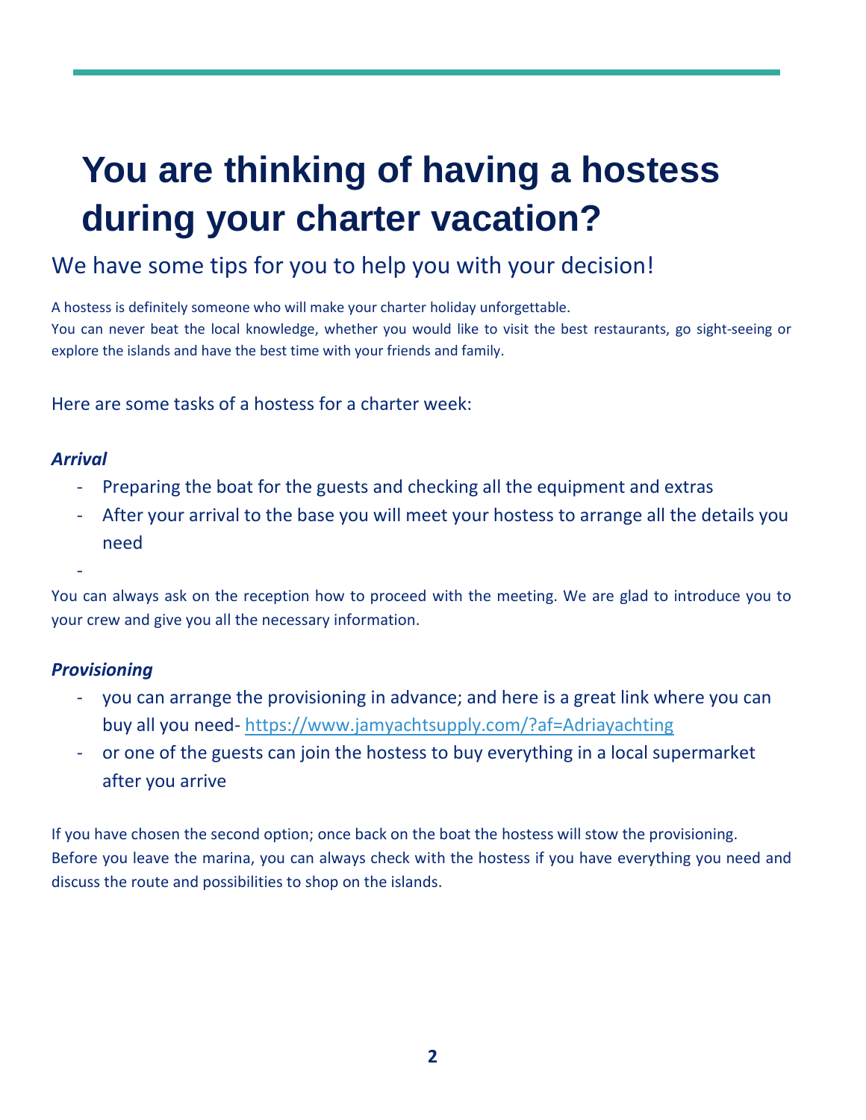# **You are thinking of having a hostess during your charter vacation?**

## We have some tips for you to help you with your decision!

A hostess is definitely someone who will make your charter holiday unforgettable. You can never beat the local knowledge, whether you would like to visit the best restaurants, go sight-seeing or explore the islands and have the best time with your friends and family.

Here are some tasks of a hostess for a charter week:

#### *Arrival*

-

- Preparing the boat for the guests and checking all the equipment and extras
- After your arrival to the base you will meet your hostess to arrange all the details you need

You can always ask on the reception how to proceed with the meeting. We are glad to introduce you to your crew and give you all the necessary information.

#### *Provisioning*

- you can arrange the provisioning in advance; and here is a great link where you can buy all you need- <https://www.jamyachtsupply.com/?af=Adriayachting>
- or one of the guests can join the hostess to buy everything in a local supermarket after you arrive

If you have chosen the second option; once back on the boat the hostess will stow the provisioning. Before you leave the marina, you can always check with the hostess if you have everything you need and discuss the route and possibilities to shop on the islands.